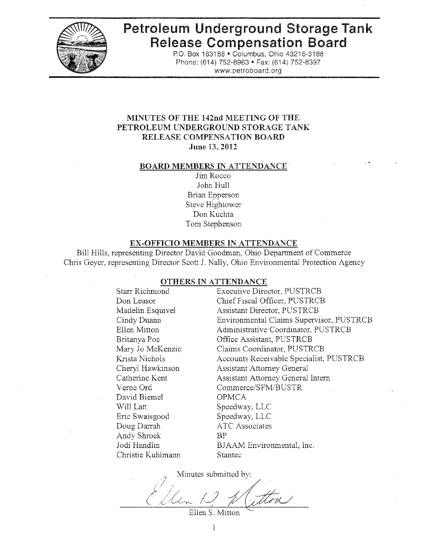

# **Petroleum Underground Storage Tank Release Compensation Board**

P.O. Box 163188 · Columbus, Ohio 43216-3188 Phone: (614) 752-8963 · Fax: (614) 752-8397 www.petroboard.org

## **MINUTES OF THE 142nd MEETING OF THE** PETROLEUM UNDERGROUND STORAGE TANK RELEASE COMPENSATION BOARD June 13, 2012

#### **BOARD MEMBERS IN ATTENDANCE**

Jim Rocco John Hull Brian Epperson Steve Hightower Don Kuchta Tom Stephenson

#### EX-OFFICIO MEMBERS IN ATTENDANCE

Bill Hills, representing Director David Goodman, Ohio Department of Commerce Chris Geyer, representing Director Scott J. Nally, Ohio Environmental Protection Agency

#### OTHERS IN ATTENDANCE

Starr Richmond Don Leasor Madelin Esquivel Cindy Duann Ellen Mitton Britanya Poe Mary Jo McKenzie. Krista Nichols Cheryl Hawkinson Catherine Kent Verne Ord David Biemel Will Latt Eric Swaisgood Doug Darrah Andy Shrock Jodi Handlin Christie Kuhlmann

**Executive Director, PUSTRCB** Chief Fiscal Officer, PUSTRCB Assistant Director, PUSTRCB Environmental Claims Supervisor, PUSTRCB Administrative Coordinator, PUSTRCB Office Assistant, PUSTRCB Claims Coordinator, PUSTRCB Accounts Receivable Specialist, PUSTRCB **Assistant Attorney General Assistant Attorney General Intern** Commerce/SFM/BUSTR **OPMCA** Speedway, LLC Speedway, LLC **ATC** Associates  $B<sub>P</sub>$ BJAAM Environmental, Inc. Stantec

Minutes submitted by:

Ellen S. Mitton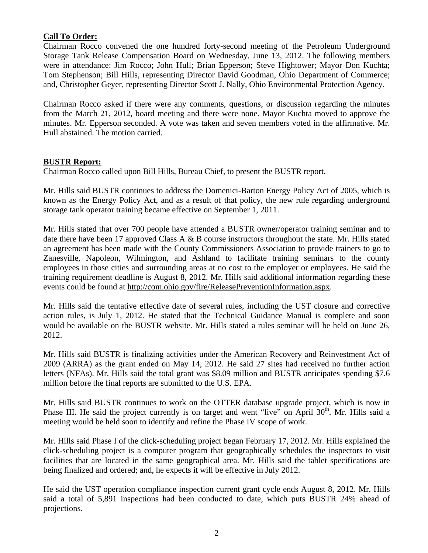# **Call To Order:**

Chairman Rocco convened the one hundred forty-second meeting of the Petroleum Underground Storage Tank Release Compensation Board on Wednesday, June 13, 2012. The following members were in attendance: Jim Rocco; John Hull; Brian Epperson; Steve Hightower; Mayor Don Kuchta; Tom Stephenson; Bill Hills, representing Director David Goodman, Ohio Department of Commerce; and, Christopher Geyer, representing Director Scott J. Nally, Ohio Environmental Protection Agency.

Chairman Rocco asked if there were any comments, questions, or discussion regarding the minutes from the March 21, 2012, board meeting and there were none. Mayor Kuchta moved to approve the minutes. Mr. Epperson seconded. A vote was taken and seven members voted in the affirmative. Mr. Hull abstained. The motion carried.

### **BUSTR Report:**

Chairman Rocco called upon Bill Hills, Bureau Chief, to present the BUSTR report.

Mr. Hills said BUSTR continues to address the Domenici-Barton Energy Policy Act of 2005, which is known as the Energy Policy Act, and as a result of that policy, the new rule regarding underground storage tank operator training became effective on September 1, 2011.

Mr. Hills stated that over 700 people have attended a BUSTR owner/operator training seminar and to date there have been 17 approved Class A & B course instructors throughout the state. Mr. Hills stated an agreement has been made with the County Commissioners Association to provide trainers to go to Zanesville, Napoleon, Wilmington, and Ashland to facilitate training seminars to the county employees in those cities and surrounding areas at no cost to the employer or employees. He said the training requirement deadline is August 8, 2012. Mr. Hills said additional information regarding these events could be found at http://com.ohio.gov/fire/ReleasePreventionInformation.aspx.

Mr. Hills said the tentative effective date of several rules, including the UST closure and corrective action rules, is July 1, 2012. He stated that the Technical Guidance Manual is complete and soon would be available on the BUSTR website. Mr. Hills stated a rules seminar will be held on June 26, 2012.

Mr. Hills said BUSTR is finalizing activities under the American Recovery and Reinvestment Act of 2009 (ARRA) as the grant ended on May 14, 2012. He said 27 sites had received no further action letters (NFAs). Mr. Hills said the total grant was \$8.09 million and BUSTR anticipates spending \$7.6 million before the final reports are submitted to the U.S. EPA.

Mr. Hills said BUSTR continues to work on the OTTER database upgrade project, which is now in Phase III. He said the project currently is on target and went "live" on April 30<sup>th</sup>. Mr. Hills said a meeting would be held soon to identify and refine the Phase IV scope of work.

Mr. Hills said Phase I of the click-scheduling project began February 17, 2012. Mr. Hills explained the click-scheduling project is a computer program that geographically schedules the inspectors to visit facilities that are located in the same geographical area. Mr. Hills said the tablet specifications are being finalized and ordered; and, he expects it will be effective in July 2012.

He said the UST operation compliance inspection current grant cycle ends August 8, 2012. Mr. Hills said a total of 5,891 inspections had been conducted to date, which puts BUSTR 24% ahead of projections.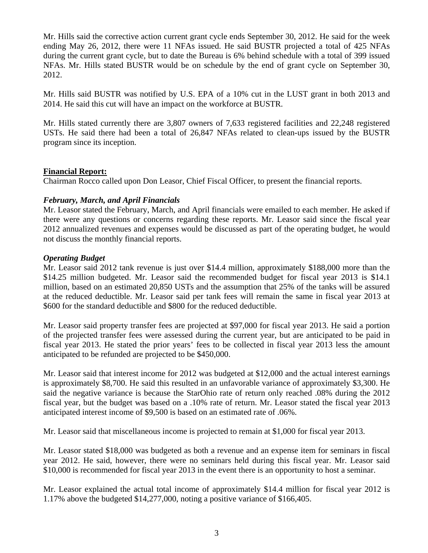Mr. Hills said the corrective action current grant cycle ends September 30, 2012. He said for the week ending May 26, 2012, there were 11 NFAs issued. He said BUSTR projected a total of 425 NFAs during the current grant cycle, but to date the Bureau is 6% behind schedule with a total of 399 issued NFAs. Mr. Hills stated BUSTR would be on schedule by the end of grant cycle on September 30, 2012.

Mr. Hills said BUSTR was notified by U.S. EPA of a 10% cut in the LUST grant in both 2013 and 2014. He said this cut will have an impact on the workforce at BUSTR.

Mr. Hills stated currently there are 3,807 owners of 7,633 registered facilities and 22,248 registered USTs. He said there had been a total of 26,847 NFAs related to clean-ups issued by the BUSTR program since its inception.

# **Financial Report:**

Chairman Rocco called upon Don Leasor, Chief Fiscal Officer, to present the financial reports.

# *February, March, and April Financials*

Mr. Leasor stated the February, March, and April financials were emailed to each member. He asked if there were any questions or concerns regarding these reports. Mr. Leasor said since the fiscal year 2012 annualized revenues and expenses would be discussed as part of the operating budget, he would not discuss the monthly financial reports.

# *Operating Budget*

Mr. Leasor said 2012 tank revenue is just over \$14.4 million, approximately \$188,000 more than the \$14.25 million budgeted. Mr. Leasor said the recommended budget for fiscal year 2013 is \$14.1 million, based on an estimated 20,850 USTs and the assumption that 25% of the tanks will be assured at the reduced deductible. Mr. Leasor said per tank fees will remain the same in fiscal year 2013 at \$600 for the standard deductible and \$800 for the reduced deductible.

Mr. Leasor said property transfer fees are projected at \$97,000 for fiscal year 2013. He said a portion of the projected transfer fees were assessed during the current year, but are anticipated to be paid in fiscal year 2013. He stated the prior years' fees to be collected in fiscal year 2013 less the amount anticipated to be refunded are projected to be \$450,000.

Mr. Leasor said that interest income for 2012 was budgeted at \$12,000 and the actual interest earnings is approximately \$8,700. He said this resulted in an unfavorable variance of approximately \$3,300. He said the negative variance is because the StarOhio rate of return only reached .08% during the 2012 fiscal year, but the budget was based on a .10% rate of return. Mr. Leasor stated the fiscal year 2013 anticipated interest income of \$9,500 is based on an estimated rate of .06%.

Mr. Leasor said that miscellaneous income is projected to remain at \$1,000 for fiscal year 2013.

Mr. Leasor stated \$18,000 was budgeted as both a revenue and an expense item for seminars in fiscal year 2012. He said, however, there were no seminars held during this fiscal year. Mr. Leasor said \$10,000 is recommended for fiscal year 2013 in the event there is an opportunity to host a seminar.

Mr. Leasor explained the actual total income of approximately \$14.4 million for fiscal year 2012 is 1.17% above the budgeted \$14,277,000, noting a positive variance of \$166,405.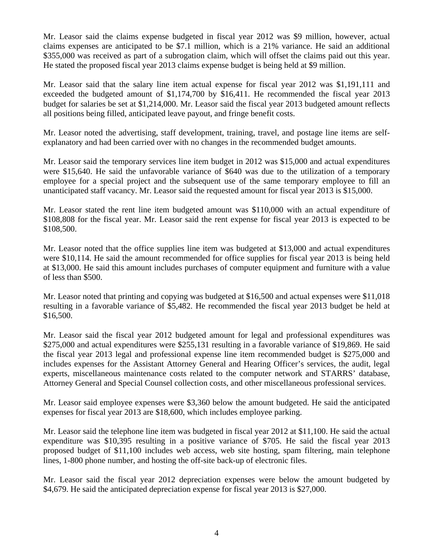Mr. Leasor said the claims expense budgeted in fiscal year 2012 was \$9 million, however, actual claims expenses are anticipated to be \$7.1 million, which is a 21% variance. He said an additional \$355,000 was received as part of a subrogation claim, which will offset the claims paid out this year. He stated the proposed fiscal year 2013 claims expense budget is being held at \$9 million.

Mr. Leasor said that the salary line item actual expense for fiscal year 2012 was \$1,191,111 and exceeded the budgeted amount of \$1,174,700 by \$16,411. He recommended the fiscal year 2013 budget for salaries be set at \$1,214,000. Mr. Leasor said the fiscal year 2013 budgeted amount reflects all positions being filled, anticipated leave payout, and fringe benefit costs.

Mr. Leasor noted the advertising, staff development, training, travel, and postage line items are selfexplanatory and had been carried over with no changes in the recommended budget amounts.

Mr. Leasor said the temporary services line item budget in 2012 was \$15,000 and actual expenditures were \$15,640. He said the unfavorable variance of \$640 was due to the utilization of a temporary employee for a special project and the subsequent use of the same temporary employee to fill an unanticipated staff vacancy. Mr. Leasor said the requested amount for fiscal year 2013 is \$15,000.

Mr. Leasor stated the rent line item budgeted amount was \$110,000 with an actual expenditure of \$108,808 for the fiscal year. Mr. Leasor said the rent expense for fiscal year 2013 is expected to be \$108,500.

Mr. Leasor noted that the office supplies line item was budgeted at \$13,000 and actual expenditures were \$10,114. He said the amount recommended for office supplies for fiscal year 2013 is being held at \$13,000. He said this amount includes purchases of computer equipment and furniture with a value of less than \$500.

Mr. Leasor noted that printing and copying was budgeted at \$16,500 and actual expenses were \$11,018 resulting in a favorable variance of \$5,482. He recommended the fiscal year 2013 budget be held at \$16,500.

Mr. Leasor said the fiscal year 2012 budgeted amount for legal and professional expenditures was \$275,000 and actual expenditures were \$255,131 resulting in a favorable variance of \$19,869. He said the fiscal year 2013 legal and professional expense line item recommended budget is \$275,000 and includes expenses for the Assistant Attorney General and Hearing Officer's services, the audit, legal experts, miscellaneous maintenance costs related to the computer network and STARRS' database, Attorney General and Special Counsel collection costs, and other miscellaneous professional services.

Mr. Leasor said employee expenses were \$3,360 below the amount budgeted. He said the anticipated expenses for fiscal year 2013 are \$18,600, which includes employee parking.

Mr. Leasor said the telephone line item was budgeted in fiscal year 2012 at \$11,100. He said the actual expenditure was \$10,395 resulting in a positive variance of \$705. He said the fiscal year 2013 proposed budget of \$11,100 includes web access, web site hosting, spam filtering, main telephone lines, 1-800 phone number, and hosting the off-site back-up of electronic files.

Mr. Leasor said the fiscal year 2012 depreciation expenses were below the amount budgeted by \$4,679. He said the anticipated depreciation expense for fiscal year 2013 is \$27,000.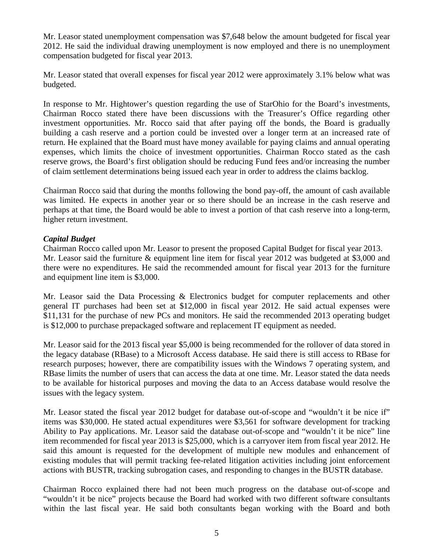Mr. Leasor stated unemployment compensation was \$7,648 below the amount budgeted for fiscal year 2012. He said the individual drawing unemployment is now employed and there is no unemployment compensation budgeted for fiscal year 2013.

Mr. Leasor stated that overall expenses for fiscal year 2012 were approximately 3.1% below what was budgeted.

In response to Mr. Hightower's question regarding the use of StarOhio for the Board's investments, Chairman Rocco stated there have been discussions with the Treasurer's Office regarding other investment opportunities. Mr. Rocco said that after paying off the bonds, the Board is gradually building a cash reserve and a portion could be invested over a longer term at an increased rate of return. He explained that the Board must have money available for paying claims and annual operating expenses, which limits the choice of investment opportunities. Chairman Rocco stated as the cash reserve grows, the Board's first obligation should be reducing Fund fees and/or increasing the number of claim settlement determinations being issued each year in order to address the claims backlog.

Chairman Rocco said that during the months following the bond pay-off, the amount of cash available was limited. He expects in another year or so there should be an increase in the cash reserve and perhaps at that time, the Board would be able to invest a portion of that cash reserve into a long-term, higher return investment.

# *Capital Budget*

Chairman Rocco called upon Mr. Leasor to present the proposed Capital Budget for fiscal year 2013. Mr. Leasor said the furniture & equipment line item for fiscal year 2012 was budgeted at \$3,000 and there were no expenditures. He said the recommended amount for fiscal year 2013 for the furniture and equipment line item is \$3,000.

Mr. Leasor said the Data Processing & Electronics budget for computer replacements and other general IT purchases had been set at \$12,000 in fiscal year 2012. He said actual expenses were \$11,131 for the purchase of new PCs and monitors. He said the recommended 2013 operating budget is \$12,000 to purchase prepackaged software and replacement IT equipment as needed.

Mr. Leasor said for the 2013 fiscal year \$5,000 is being recommended for the rollover of data stored in the legacy database (RBase) to a Microsoft Access database. He said there is still access to RBase for research purposes; however, there are compatibility issues with the Windows 7 operating system, and RBase limits the number of users that can access the data at one time. Mr. Leasor stated the data needs to be available for historical purposes and moving the data to an Access database would resolve the issues with the legacy system.

Mr. Leasor stated the fiscal year 2012 budget for database out-of-scope and "wouldn't it be nice if" items was \$30,000. He stated actual expenditures were \$3,561 for software development for tracking Ability to Pay applications. Mr. Leasor said the database out-of-scope and "wouldn't it be nice" line item recommended for fiscal year 2013 is \$25,000, which is a carryover item from fiscal year 2012. He said this amount is requested for the development of multiple new modules and enhancement of existing modules that will permit tracking fee-related litigation activities including joint enforcement actions with BUSTR, tracking subrogation cases, and responding to changes in the BUSTR database.

Chairman Rocco explained there had not been much progress on the database out-of-scope and "wouldn't it be nice" projects because the Board had worked with two different software consultants within the last fiscal year. He said both consultants began working with the Board and both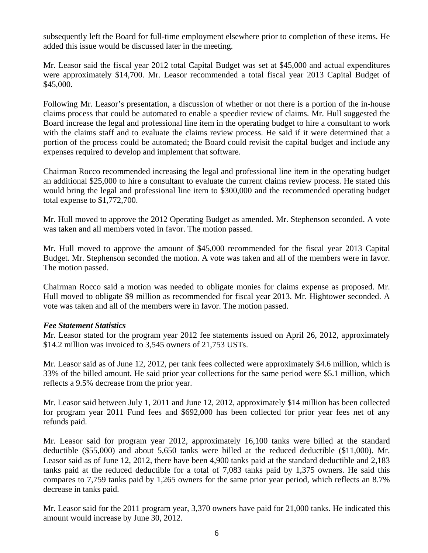subsequently left the Board for full-time employment elsewhere prior to completion of these items. He added this issue would be discussed later in the meeting.

Mr. Leasor said the fiscal year 2012 total Capital Budget was set at \$45,000 and actual expenditures were approximately \$14,700. Mr. Leasor recommended a total fiscal year 2013 Capital Budget of \$45,000.

Following Mr. Leasor's presentation, a discussion of whether or not there is a portion of the in-house claims process that could be automated to enable a speedier review of claims. Mr. Hull suggested the Board increase the legal and professional line item in the operating budget to hire a consultant to work with the claims staff and to evaluate the claims review process. He said if it were determined that a portion of the process could be automated; the Board could revisit the capital budget and include any expenses required to develop and implement that software.

Chairman Rocco recommended increasing the legal and professional line item in the operating budget an additional \$25,000 to hire a consultant to evaluate the current claims review process. He stated this would bring the legal and professional line item to \$300,000 and the recommended operating budget total expense to \$1,772,700.

Mr. Hull moved to approve the 2012 Operating Budget as amended. Mr. Stephenson seconded. A vote was taken and all members voted in favor. The motion passed.

Mr. Hull moved to approve the amount of \$45,000 recommended for the fiscal year 2013 Capital Budget. Mr. Stephenson seconded the motion. A vote was taken and all of the members were in favor. The motion passed.

Chairman Rocco said a motion was needed to obligate monies for claims expense as proposed. Mr. Hull moved to obligate \$9 million as recommended for fiscal year 2013. Mr. Hightower seconded. A vote was taken and all of the members were in favor. The motion passed.

### *Fee Statement Statistics*

Mr. Leasor stated for the program year 2012 fee statements issued on April 26, 2012, approximately \$14.2 million was invoiced to 3,545 owners of 21,753 USTs.

Mr. Leasor said as of June 12, 2012, per tank fees collected were approximately \$4.6 million, which is 33% of the billed amount. He said prior year collections for the same period were \$5.1 million, which reflects a 9.5% decrease from the prior year.

Mr. Leasor said between July 1, 2011 and June 12, 2012, approximately \$14 million has been collected for program year 2011 Fund fees and \$692,000 has been collected for prior year fees net of any refunds paid.

Mr. Leasor said for program year 2012, approximately 16,100 tanks were billed at the standard deductible (\$55,000) and about 5,650 tanks were billed at the reduced deductible (\$11,000). Mr. Leasor said as of June 12, 2012, there have been 4,900 tanks paid at the standard deductible and 2,183 tanks paid at the reduced deductible for a total of 7,083 tanks paid by 1,375 owners. He said this compares to 7,759 tanks paid by 1,265 owners for the same prior year period, which reflects an 8.7% decrease in tanks paid.

Mr. Leasor said for the 2011 program year, 3,370 owners have paid for 21,000 tanks. He indicated this amount would increase by June 30, 2012.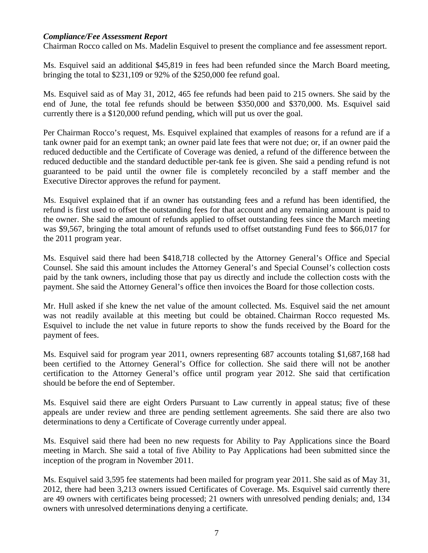#### *Compliance/Fee Assessment Report*

Chairman Rocco called on Ms. Madelin Esquivel to present the compliance and fee assessment report.

Ms. Esquivel said an additional \$45,819 in fees had been refunded since the March Board meeting, bringing the total to \$231,109 or 92% of the \$250,000 fee refund goal.

Ms. Esquivel said as of May 31, 2012, 465 fee refunds had been paid to 215 owners. She said by the end of June, the total fee refunds should be between \$350,000 and \$370,000. Ms. Esquivel said currently there is a \$120,000 refund pending, which will put us over the goal.

Per Chairman Rocco's request, Ms. Esquivel explained that examples of reasons for a refund are if a tank owner paid for an exempt tank; an owner paid late fees that were not due; or, if an owner paid the reduced deductible and the Certificate of Coverage was denied, a refund of the difference between the reduced deductible and the standard deductible per-tank fee is given. She said a pending refund is not guaranteed to be paid until the owner file is completely reconciled by a staff member and the Executive Director approves the refund for payment.

Ms. Esquivel explained that if an owner has outstanding fees and a refund has been identified, the refund is first used to offset the outstanding fees for that account and any remaining amount is paid to the owner. She said the amount of refunds applied to offset outstanding fees since the March meeting was \$9,567, bringing the total amount of refunds used to offset outstanding Fund fees to \$66,017 for the 2011 program year.

Ms. Esquivel said there had been \$418,718 collected by the Attorney General's Office and Special Counsel. She said this amount includes the Attorney General's and Special Counsel's collection costs paid by the tank owners, including those that pay us directly and include the collection costs with the payment. She said the Attorney General's office then invoices the Board for those collection costs.

Mr. Hull asked if she knew the net value of the amount collected. Ms. Esquivel said the net amount was not readily available at this meeting but could be obtained. Chairman Rocco requested Ms. Esquivel to include the net value in future reports to show the funds received by the Board for the payment of fees.

Ms. Esquivel said for program year 2011, owners representing 687 accounts totaling \$1,687,168 had been certified to the Attorney General's Office for collection. She said there will not be another certification to the Attorney General's office until program year 2012. She said that certification should be before the end of September.

Ms. Esquivel said there are eight Orders Pursuant to Law currently in appeal status; five of these appeals are under review and three are pending settlement agreements. She said there are also two determinations to deny a Certificate of Coverage currently under appeal.

Ms. Esquivel said there had been no new requests for Ability to Pay Applications since the Board meeting in March. She said a total of five Ability to Pay Applications had been submitted since the inception of the program in November 2011.

Ms. Esquivel said 3,595 fee statements had been mailed for program year 2011. She said as of May 31, 2012, there had been 3,213 owners issued Certificates of Coverage. Ms. Esquivel said currently there are 49 owners with certificates being processed; 21 owners with unresolved pending denials; and, 134 owners with unresolved determinations denying a certificate.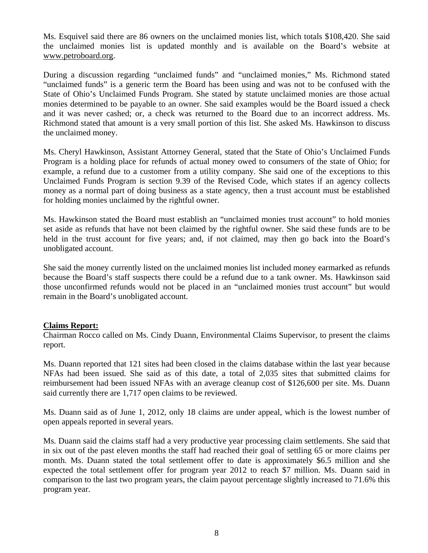Ms. Esquivel said there are 86 owners on the unclaimed monies list, which totals \$108,420. She said the unclaimed monies list is updated monthly and is available on the Board's website at www.petroboard.org.

During a discussion regarding "unclaimed funds" and "unclaimed monies," Ms. Richmond stated "unclaimed funds" is a generic term the Board has been using and was not to be confused with the State of Ohio's Unclaimed Funds Program. She stated by statute unclaimed monies are those actual monies determined to be payable to an owner. She said examples would be the Board issued a check and it was never cashed; or, a check was returned to the Board due to an incorrect address. Ms. Richmond stated that amount is a very small portion of this list. She asked Ms. Hawkinson to discuss the unclaimed money.

Ms. Cheryl Hawkinson, Assistant Attorney General, stated that the State of Ohio's Unclaimed Funds Program is a holding place for refunds of actual money owed to consumers of the state of Ohio; for example, a refund due to a customer from a utility company. She said one of the exceptions to this Unclaimed Funds Program is section 9.39 of the Revised Code, which states if an agency collects money as a normal part of doing business as a state agency, then a trust account must be established for holding monies unclaimed by the rightful owner.

Ms. Hawkinson stated the Board must establish an "unclaimed monies trust account" to hold monies set aside as refunds that have not been claimed by the rightful owner. She said these funds are to be held in the trust account for five years; and, if not claimed, may then go back into the Board's unobligated account.

She said the money currently listed on the unclaimed monies list included money earmarked as refunds because the Board's staff suspects there could be a refund due to a tank owner. Ms. Hawkinson said those unconfirmed refunds would not be placed in an "unclaimed monies trust account" but would remain in the Board's unobligated account.

### **Claims Report:**

Chairman Rocco called on Ms. Cindy Duann, Environmental Claims Supervisor, to present the claims report.

Ms. Duann reported that 121 sites had been closed in the claims database within the last year because NFAs had been issued. She said as of this date, a total of 2,035 sites that submitted claims for reimbursement had been issued NFAs with an average cleanup cost of \$126,600 per site. Ms. Duann said currently there are 1,717 open claims to be reviewed.

Ms. Duann said as of June 1, 2012, only 18 claims are under appeal, which is the lowest number of open appeals reported in several years.

Ms. Duann said the claims staff had a very productive year processing claim settlements. She said that in six out of the past eleven months the staff had reached their goal of settling 65 or more claims per month. Ms. Duann stated the total settlement offer to date is approximately \$6.5 million and she expected the total settlement offer for program year 2012 to reach \$7 million. Ms. Duann said in comparison to the last two program years, the claim payout percentage slightly increased to 71.6% this program year.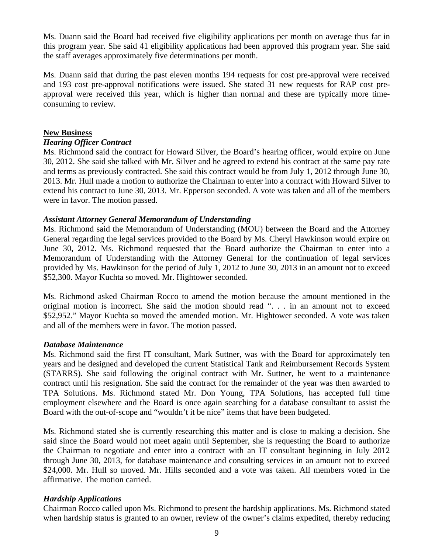Ms. Duann said the Board had received five eligibility applications per month on average thus far in this program year. She said 41 eligibility applications had been approved this program year. She said the staff averages approximately five determinations per month.

Ms. Duann said that during the past eleven months 194 requests for cost pre-approval were received and 193 cost pre-approval notifications were issued. She stated 31 new requests for RAP cost preapproval were received this year, which is higher than normal and these are typically more timeconsuming to review.

## **New Business**

# *Hearing Officer Contract*

Ms. Richmond said the contract for Howard Silver, the Board's hearing officer, would expire on June 30, 2012. She said she talked with Mr. Silver and he agreed to extend his contract at the same pay rate and terms as previously contracted. She said this contract would be from July 1, 2012 through June 30, 2013. Mr. Hull made a motion to authorize the Chairman to enter into a contract with Howard Silver to extend his contract to June 30, 2013. Mr. Epperson seconded. A vote was taken and all of the members were in favor. The motion passed.

### *Assistant Attorney General Memorandum of Understanding*

Ms. Richmond said the Memorandum of Understanding (MOU) between the Board and the Attorney General regarding the legal services provided to the Board by Ms. Cheryl Hawkinson would expire on June 30, 2012. Ms. Richmond requested that the Board authorize the Chairman to enter into a Memorandum of Understanding with the Attorney General for the continuation of legal services provided by Ms. Hawkinson for the period of July 1, 2012 to June 30, 2013 in an amount not to exceed \$52,300. Mayor Kuchta so moved. Mr. Hightower seconded.

Ms. Richmond asked Chairman Rocco to amend the motion because the amount mentioned in the original motion is incorrect. She said the motion should read ". . . in an amount not to exceed \$52,952." Mayor Kuchta so moved the amended motion. Mr. Hightower seconded. A vote was taken and all of the members were in favor. The motion passed.

### *Database Maintenance*

Ms. Richmond said the first IT consultant, Mark Suttner, was with the Board for approximately ten years and he designed and developed the current Statistical Tank and Reimbursement Records System (STARRS). She said following the original contract with Mr. Suttner, he went to a maintenance contract until his resignation. She said the contract for the remainder of the year was then awarded to TPA Solutions. Ms. Richmond stated Mr. Don Young, TPA Solutions, has accepted full time employment elsewhere and the Board is once again searching for a database consultant to assist the Board with the out-of-scope and "wouldn't it be nice" items that have been budgeted.

Ms. Richmond stated she is currently researching this matter and is close to making a decision. She said since the Board would not meet again until September, she is requesting the Board to authorize the Chairman to negotiate and enter into a contract with an IT consultant beginning in July 2012 through June 30, 2013, for database maintenance and consulting services in an amount not to exceed \$24,000. Mr. Hull so moved. Mr. Hills seconded and a vote was taken. All members voted in the affirmative. The motion carried.

# *Hardship Applications*

Chairman Rocco called upon Ms. Richmond to present the hardship applications. Ms. Richmond stated when hardship status is granted to an owner, review of the owner's claims expedited, thereby reducing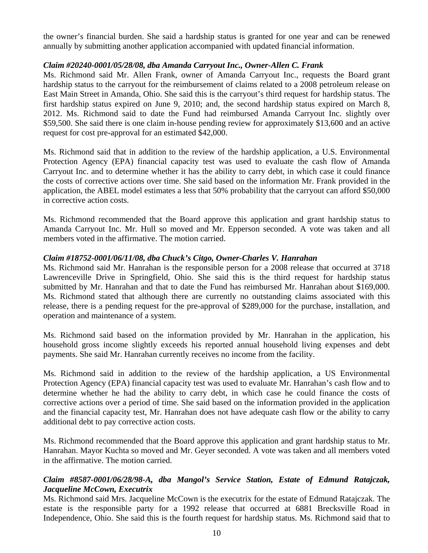the owner's financial burden. She said a hardship status is granted for one year and can be renewed annually by submitting another application accompanied with updated financial information.

## *Claim #20240-0001/05/28/08, dba Amanda Carryout Inc., Owner-Allen C. Frank*

Ms. Richmond said Mr. Allen Frank, owner of Amanda Carryout Inc., requests the Board grant hardship status to the carryout for the reimbursement of claims related to a 2008 petroleum release on East Main Street in Amanda, Ohio. She said this is the carryout's third request for hardship status. The first hardship status expired on June 9, 2010; and, the second hardship status expired on March 8, 2012. Ms. Richmond said to date the Fund had reimbursed Amanda Carryout Inc. slightly over \$59,500. She said there is one claim in-house pending review for approximately \$13,600 and an active request for cost pre-approval for an estimated \$42,000.

Ms. Richmond said that in addition to the review of the hardship application, a U.S. Environmental Protection Agency (EPA) financial capacity test was used to evaluate the cash flow of Amanda Carryout Inc. and to determine whether it has the ability to carry debt, in which case it could finance the costs of corrective actions over time. She said based on the information Mr. Frank provided in the application, the ABEL model estimates a less that 50% probability that the carryout can afford \$50,000 in corrective action costs.

Ms. Richmond recommended that the Board approve this application and grant hardship status to Amanda Carryout Inc. Mr. Hull so moved and Mr. Epperson seconded. A vote was taken and all members voted in the affirmative. The motion carried.

### *Claim #18752-0001/06/11/08, dba Chuck's Citgo, Owner-Charles V. Hanrahan*

Ms. Richmond said Mr. Hanrahan is the responsible person for a 2008 release that occurred at 3718 Lawrenceville Drive in Springfield, Ohio. She said this is the third request for hardship status submitted by Mr. Hanrahan and that to date the Fund has reimbursed Mr. Hanrahan about \$169,000. Ms. Richmond stated that although there are currently no outstanding claims associated with this release, there is a pending request for the pre-approval of \$289,000 for the purchase, installation, and operation and maintenance of a system.

Ms. Richmond said based on the information provided by Mr. Hanrahan in the application, his household gross income slightly exceeds his reported annual household living expenses and debt payments. She said Mr. Hanrahan currently receives no income from the facility.

Ms. Richmond said in addition to the review of the hardship application, a US Environmental Protection Agency (EPA) financial capacity test was used to evaluate Mr. Hanrahan's cash flow and to determine whether he had the ability to carry debt, in which case he could finance the costs of corrective actions over a period of time. She said based on the information provided in the application and the financial capacity test, Mr. Hanrahan does not have adequate cash flow or the ability to carry additional debt to pay corrective action costs.

Ms. Richmond recommended that the Board approve this application and grant hardship status to Mr. Hanrahan. Mayor Kuchta so moved and Mr. Geyer seconded. A vote was taken and all members voted in the affirmative. The motion carried.

# *Claim #8587-0001/06/28/98-A, dba Mangol's Service Station, Estate of Edmund Ratajczak, Jacqueline McCown, Executrix*

Ms. Richmond said Mrs. Jacqueline McCown is the executrix for the estate of Edmund Ratajczak. The estate is the responsible party for a 1992 release that occurred at 6881 Brecksville Road in Independence, Ohio. She said this is the fourth request for hardship status. Ms. Richmond said that to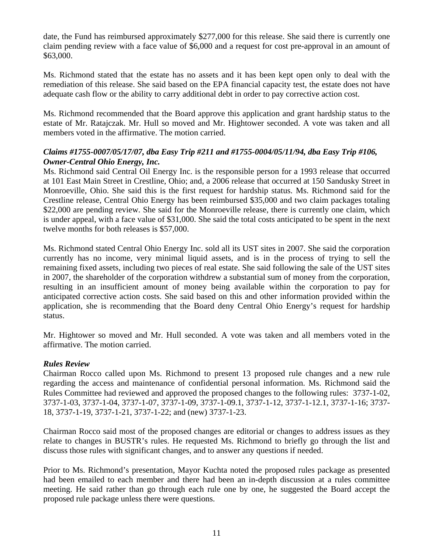date, the Fund has reimbursed approximately \$277,000 for this release. She said there is currently one claim pending review with a face value of \$6,000 and a request for cost pre-approval in an amount of \$63,000.

Ms. Richmond stated that the estate has no assets and it has been kept open only to deal with the remediation of this release. She said based on the EPA financial capacity test, the estate does not have adequate cash flow or the ability to carry additional debt in order to pay corrective action cost.

Ms. Richmond recommended that the Board approve this application and grant hardship status to the estate of Mr. Ratajczak. Mr. Hull so moved and Mr. Hightower seconded. A vote was taken and all members voted in the affirmative. The motion carried.

# *Claims #1755-0007/05/17/07, dba Easy Trip #211 and #1755-0004/05/11/94, dba Easy Trip #106, Owner-Central Ohio Energy, Inc.*

Ms. Richmond said Central Oil Energy Inc. is the responsible person for a 1993 release that occurred at 101 East Main Street in Crestline, Ohio; and, a 2006 release that occurred at 150 Sandusky Street in Monroeville, Ohio. She said this is the first request for hardship status. Ms. Richmond said for the Crestline release, Central Ohio Energy has been reimbursed \$35,000 and two claim packages totaling \$22,000 are pending review. She said for the Monroeville release, there is currently one claim, which is under appeal, with a face value of \$31,000. She said the total costs anticipated to be spent in the next twelve months for both releases is \$57,000.

Ms. Richmond stated Central Ohio Energy Inc. sold all its UST sites in 2007. She said the corporation currently has no income, very minimal liquid assets, and is in the process of trying to sell the remaining fixed assets, including two pieces of real estate. She said following the sale of the UST sites in 2007, the shareholder of the corporation withdrew a substantial sum of money from the corporation, resulting in an insufficient amount of money being available within the corporation to pay for anticipated corrective action costs. She said based on this and other information provided within the application, she is recommending that the Board deny Central Ohio Energy's request for hardship status.

Mr. Hightower so moved and Mr. Hull seconded. A vote was taken and all members voted in the affirmative. The motion carried.

# *Rules Review*

Chairman Rocco called upon Ms. Richmond to present 13 proposed rule changes and a new rule regarding the access and maintenance of confidential personal information. Ms. Richmond said the Rules Committee had reviewed and approved the proposed changes to the following rules: 3737-1-02, 3737-1-03, 3737-1-04, 3737-1-07, 3737-1-09, 3737-1-09.1, 3737-1-12, 3737-1-12.1, 3737-1-16; 3737- 18, 3737-1-19, 3737-1-21, 3737-1-22; and (new) 3737-1-23.

Chairman Rocco said most of the proposed changes are editorial or changes to address issues as they relate to changes in BUSTR's rules. He requested Ms. Richmond to briefly go through the list and discuss those rules with significant changes, and to answer any questions if needed.

Prior to Ms. Richmond's presentation, Mayor Kuchta noted the proposed rules package as presented had been emailed to each member and there had been an in-depth discussion at a rules committee meeting. He said rather than go through each rule one by one, he suggested the Board accept the proposed rule package unless there were questions.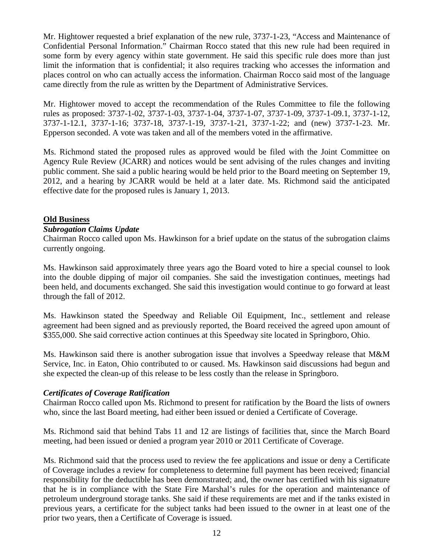Mr. Hightower requested a brief explanation of the new rule, 3737-1-23, "Access and Maintenance of Confidential Personal Information." Chairman Rocco stated that this new rule had been required in some form by every agency within state government. He said this specific rule does more than just limit the information that is confidential; it also requires tracking who accesses the information and places control on who can actually access the information. Chairman Rocco said most of the language came directly from the rule as written by the Department of Administrative Services.

Mr. Hightower moved to accept the recommendation of the Rules Committee to file the following rules as proposed: 3737-1-02, 3737-1-03, 3737-1-04, 3737-1-07, 3737-1-09, 3737-1-09.1, 3737-1-12, 3737-1-12.1, 3737-1-16; 3737-18, 3737-1-19, 3737-1-21, 3737-1-22; and (new) 3737-1-23. Mr. Epperson seconded. A vote was taken and all of the members voted in the affirmative.

Ms. Richmond stated the proposed rules as approved would be filed with the Joint Committee on Agency Rule Review (JCARR) and notices would be sent advising of the rules changes and inviting public comment. She said a public hearing would be held prior to the Board meeting on September 19, 2012, and a hearing by JCARR would be held at a later date. Ms. Richmond said the anticipated effective date for the proposed rules is January 1, 2013.

# **Old Business**

### *Subrogation Claims Update*

Chairman Rocco called upon Ms. Hawkinson for a brief update on the status of the subrogation claims currently ongoing.

Ms. Hawkinson said approximately three years ago the Board voted to hire a special counsel to look into the double dipping of major oil companies. She said the investigation continues, meetings had been held, and documents exchanged. She said this investigation would continue to go forward at least through the fall of 2012.

Ms. Hawkinson stated the Speedway and Reliable Oil Equipment, Inc., settlement and release agreement had been signed and as previously reported, the Board received the agreed upon amount of \$355,000. She said corrective action continues at this Speedway site located in Springboro, Ohio.

Ms. Hawkinson said there is another subrogation issue that involves a Speedway release that M&M Service, Inc. in Eaton, Ohio contributed to or caused. Ms. Hawkinson said discussions had begun and she expected the clean-up of this release to be less costly than the release in Springboro.

### *Certificates of Coverage Ratification*

Chairman Rocco called upon Ms. Richmond to present for ratification by the Board the lists of owners who, since the last Board meeting, had either been issued or denied a Certificate of Coverage.

Ms. Richmond said that behind Tabs 11 and 12 are listings of facilities that, since the March Board meeting, had been issued or denied a program year 2010 or 2011 Certificate of Coverage.

Ms. Richmond said that the process used to review the fee applications and issue or deny a Certificate of Coverage includes a review for completeness to determine full payment has been received; financial responsibility for the deductible has been demonstrated; and, the owner has certified with his signature that he is in compliance with the State Fire Marshal's rules for the operation and maintenance of petroleum underground storage tanks. She said if these requirements are met and if the tanks existed in previous years, a certificate for the subject tanks had been issued to the owner in at least one of the prior two years, then a Certificate of Coverage is issued.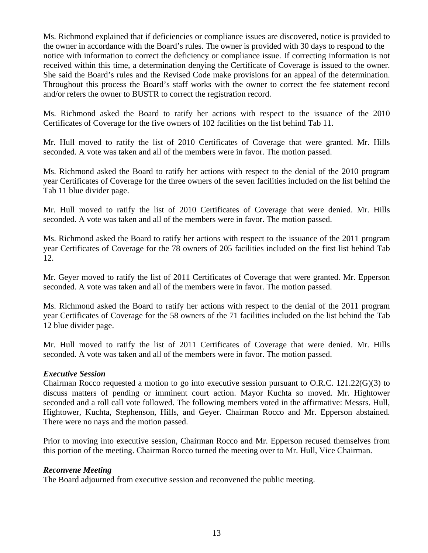Ms. Richmond explained that if deficiencies or compliance issues are discovered, notice is provided to the owner in accordance with the Board's rules. The owner is provided with 30 days to respond to the notice with information to correct the deficiency or compliance issue. If correcting information is not received within this time, a determination denying the Certificate of Coverage is issued to the owner. She said the Board's rules and the Revised Code make provisions for an appeal of the determination. Throughout this process the Board's staff works with the owner to correct the fee statement record and/or refers the owner to BUSTR to correct the registration record.

Ms. Richmond asked the Board to ratify her actions with respect to the issuance of the 2010 Certificates of Coverage for the five owners of 102 facilities on the list behind Tab 11.

Mr. Hull moved to ratify the list of 2010 Certificates of Coverage that were granted. Mr. Hills seconded. A vote was taken and all of the members were in favor. The motion passed.

Ms. Richmond asked the Board to ratify her actions with respect to the denial of the 2010 program year Certificates of Coverage for the three owners of the seven facilities included on the list behind the Tab 11 blue divider page.

Mr. Hull moved to ratify the list of 2010 Certificates of Coverage that were denied. Mr. Hills seconded. A vote was taken and all of the members were in favor. The motion passed.

Ms. Richmond asked the Board to ratify her actions with respect to the issuance of the 2011 program year Certificates of Coverage for the 78 owners of 205 facilities included on the first list behind Tab 12.

Mr. Geyer moved to ratify the list of 2011 Certificates of Coverage that were granted. Mr. Epperson seconded. A vote was taken and all of the members were in favor. The motion passed.

Ms. Richmond asked the Board to ratify her actions with respect to the denial of the 2011 program year Certificates of Coverage for the 58 owners of the 71 facilities included on the list behind the Tab 12 blue divider page.

Mr. Hull moved to ratify the list of 2011 Certificates of Coverage that were denied. Mr. Hills seconded. A vote was taken and all of the members were in favor. The motion passed.

### *Executive Session*

Chairman Rocco requested a motion to go into executive session pursuant to O.R.C. 121.22(G)(3) to discuss matters of pending or imminent court action. Mayor Kuchta so moved. Mr. Hightower seconded and a roll call vote followed. The following members voted in the affirmative: Messrs. Hull, Hightower, Kuchta, Stephenson, Hills, and Geyer. Chairman Rocco and Mr. Epperson abstained. There were no nays and the motion passed.

Prior to moving into executive session, Chairman Rocco and Mr. Epperson recused themselves from this portion of the meeting. Chairman Rocco turned the meeting over to Mr. Hull, Vice Chairman.

#### *Reconvene Meeting*

The Board adjourned from executive session and reconvened the public meeting.